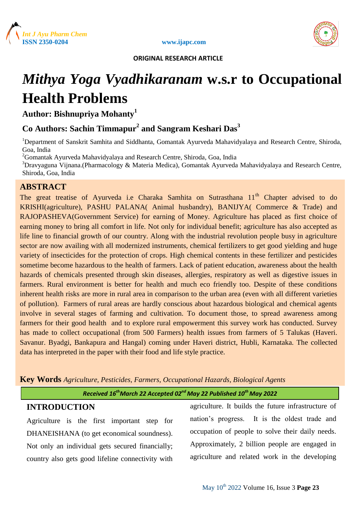





 **ORIGINAL RESEARCH ARTICLE**

# *Mithya Yoga Vyadhikaranam* **w.s.r to Occupational Health Problems**

**Author: Bishnupriya Mohanty<sup>1</sup>**

## **Co Authors: Sachin Timmapur<sup>2</sup> and Sangram Keshari Das<sup>3</sup>**

<sup>1</sup>Department of Sanskrit Samhita and Siddhanta, Gomantak Ayurveda Mahavidyalaya and Research Centre, Shiroda, Goa, India

<sup>2</sup>Gomantak Ayurveda Mahavidyalaya and Research Centre, Shiroda, Goa, India

<sup>3</sup>Dravyaguna Vijnana.(Pharmacology & Materia Medica), Gomantak Ayurveda Mahavidyalaya and Research Centre, Shiroda, Goa, India

## **ABSTRACT**

The great treatise of Ayurveda i.e Charaka Samhita on Sutrasthana 11<sup>th</sup> Chapter advised to do KRISHI(agriculture), PASHU PALANA( Animal husbandry), BANIJYA( Commerce & Trade) and RAJOPASHEVA(Government Service) for earning of Money. Agriculture has placed as first choice of earning money to bring all comfort in life. Not only for individual benefit; agriculture has also accepted as life line to financial growth of our country. Along with the industrial revolution people busy in agriculture sector are now availing with all modernized instruments, chemical fertilizers to get good yielding and huge variety of insecticides for the protection of crops. High chemical contents in these fertilizer and pesticides sometime become hazardous to the health of farmers. Lack of patient education, awareness about the health hazards of chemicals presented through skin diseases, allergies, respiratory as well as digestive issues in farmers. Rural environment is better for health and much eco friendly too. Despite of these conditions inherent health risks are more in rural area in comparison to the urban area (even with all different varieties of pollution). Farmers of rural areas are hardly conscious about hazardous biological and chemical agents involve in several stages of farming and cultivation. To document those, to spread awareness among farmers for their good health and to explore rural empowerment this survey work has conducted. Survey has made to collect occupational (from 500 Farmers) health issues from farmers of 5 Talukas (Haveri. Savanur. Byadgi, Bankapura and Hangal) coming under Haveri district, Hubli, Karnataka. The collected data has interpreted in the paper with their food and life style practice.

**Key Words** *Agriculture, Pesticides, Farmers, Occupational Hazards, Biological Agents*

*Received 16thMarch 22 Accepted 02nd May 22 Published 10th May 2022*

## **INTRODUCTION**

Agriculture is the first important step for DHANEISHANA (to get economical soundness). Not only an individual gets secured financially; country also gets good lifeline connectivity with agriculture. It builds the future infrastructure of nation's progress. It is the oldest trade and occupation of people to solve their daily needs. Approximately, 2 billion people are engaged in agriculture and related work in the developing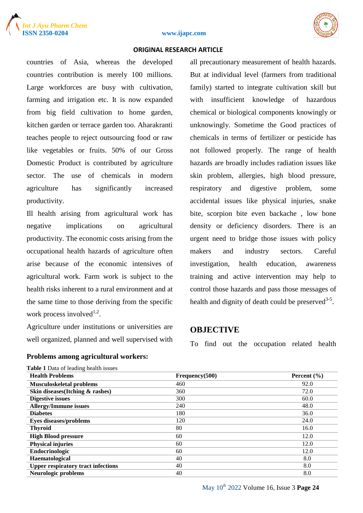



#### **ISSN 2350-0204 www.ijapc.com**

#### **ORIGINAL RESEARCH ARTICLE**

countries of Asia, whereas the developed countries contribution is merely 100 millions. Large workforces are busy with cultivation, farming and irrigation etc. It is now expanded from big field cultivation to home garden, kitchen garden or terrace garden too. Aharakranti teaches people to reject outsourcing food or raw like vegetables or fruits. 50% of our Gross Domestic Product is contributed by agriculture sector. The use of chemicals in modern agriculture has significantly increased productivity.

Ill health arising from agricultural work has negative implications on agricultural productivity. The economic costs arising from the occupational health hazards of agriculture often arise because of the economic intensives of agricultural work. Farm work is subject to the health risks inherent to a rural environment and at the same time to those deriving from the specific work process involved $1,2$ .

Agriculture under institutions or universities are well organized, planned and well supervised with

**Problems among agricultural workers:**

| <b>Table I</b> Data of leading health issues |                |                 |
|----------------------------------------------|----------------|-----------------|
| <b>Health Problems</b>                       | Frequency(500) | Percent $(\% )$ |
| <b>Musculoskeletal problems</b>              | 460            | 92.0            |
| Skin diseases (Itching $\&$ rashes)          | 360            | 72.0            |
| <b>Digestive issues</b>                      | 300            | 60.0            |
| <b>Allergy/Immune issues</b>                 | 240            | 48.0            |
| <b>Diabetes</b>                              | 180            | 36.0            |
| Eyes diseases/problems                       | 120            | 24.0            |
| <b>Thyroid</b>                               | 80             | 16.0            |
| <b>High Blood pressure</b>                   | 60             | 12.0            |
| <b>Physical injuries</b>                     | 60             | 12.0            |
| Endocrinologic                               | 60             | 12.0            |
| Haematological                               | 40             | 8.0             |
| <b>Upper respiratory tract infections</b>    | 40             | 8.0             |
| Neurologic problems                          | 40             | 8.0             |
|                                              |                |                 |

**Table 1** Data of leading health issues

But at individual level (farmers from traditional family) started to integrate cultivation skill but with insufficient knowledge of hazardous chemical or biological components knowingly or unknowingly. Sometime the Good practices of chemicals in terms of fertilizer or pesticide has not followed properly. The range of health hazards are broadly includes radiation issues like skin problem, allergies, high blood pressure, respiratory and digestive problem, some accidental issues like physical injuries, snake bite, scorpion bite even backache , low bone density or deficiency disorders. There is an urgent need to bridge those issues with policy makers and industry sectors. Careful investigation, health education, awareness training and active intervention may help to control those hazards and pass those messages of health and dignity of death could be preserved $3-5$ .

all precautionary measurement of health hazards.

## **OBJECTIVE**

To find out the occupation related health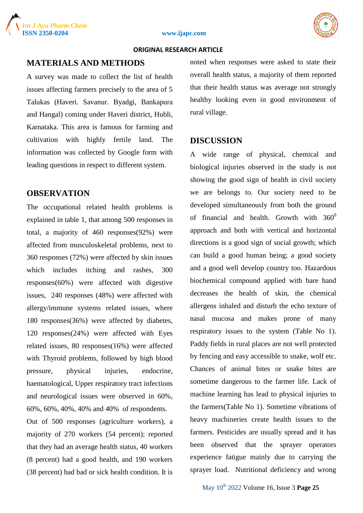





#### **ORIGINAL RESEARCH ARTICLE**

## **MATERIALS AND METHODS**

A survey was made to collect the list of health issues affecting farmers precisely to the area of 5 Talukas (Haveri. Savanur. Byadgi, Bankapura and Hangal) coming under Haveri district, Hubli, Karnataka. This area is famous for farming and cultivation with highly fertile land. The information was collected by Google form with leading questions in respect to different system.

## **OBSERVATION**

The occupational related health problems is explained in table 1, that among 500 responses in total, a majority of 460 responses(92%) were affected from musculoskeletal problems, next to 360 responses (72%) were affected by skin issues which includes itching and rashes, 300 responses(60%) were affected with digestive issues, 240 responses (48%) were affected with allergy/immune systems related issues, where 180 responses(36%) were affected by diabetes, 120 responses(24%) were affected with Eyes related issues, 80 responses(16%) were affected with Thyroid problems, followed by high blood pressure, physical injuries, endocrine, haematological, Upper respiratory tract infections and neurological issues were observed in 60%, 60%, 60%, 40%, 40% and 40% of respondents.

Out of 500 responses (agriculture workers), a majority of 270 workers (54 percent); reported that they had an average health status, 40 workers (8 percent) had a good health, and 190 workers (38 percent) had bad or sick health condition. It is noted when responses were asked to state their overall health status, a majority of them reported that their health status was average not strongly healthy looking even in good environment of rural village.

### **DISCUSSION**

A wide range of physical, chemical and biological injuries observed in the study is not showing the good sign of health in civil society we are belongs to. Our society need to be developed simultaneously from both the ground of financial and health. Growth with  $360^0$ approach and both with vertical and horizontal directions is a good sign of social growth; which can build a good human being; a good society and a good well develop country too. Hazardous biochemical compound applied with bare hand decreases the health of skin, the chemical allergens inhaled and disturb the echo texture of nasal mucosa and makes prone of many respiratory issues to the system (Table No 1). Paddy fields in rural places are not well protected by fencing and easy accessible to snake, wolf etc. Chances of animal bites or snake bites are sometime dangerous to the farmer life. Lack of machine learning has lead to physical injuries to the farmers(Table No 1). Sometime vibrations of heavy machineries create health issues to the farmers. Pesticides are usually spread and it has been observed that the sprayer operators experience fatigue mainly due to carrying the sprayer load. Nutritional deficiency and wrong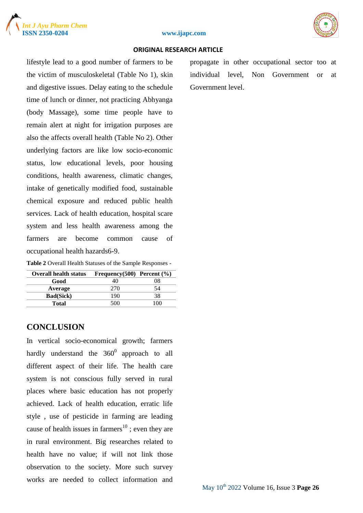



#### **ISSN 2350-0204 www.ijapc.com**

#### **ORIGINAL RESEARCH ARTICLE**

lifestyle lead to a good number of farmers to be the victim of musculoskeletal (Table No 1), skin and digestive issues. Delay eating to the schedule time of lunch or dinner, not practicing Abhyanga (body Massage), some time people have to remain alert at night for irrigation purposes are also the affects overall health (Table No 2). Other underlying factors are like low socio-economic status, low educational levels, poor housing conditions, health awareness, climatic changes, intake of genetically modified food, sustainable chemical exposure and reduced public health services. Lack of health education, hospital scare system and less health awareness among the farmers are become common cause of occupational health hazards6-9.

| Table 2 Overall Health Statuses of the Sample Responses - |  |  |  |
|-----------------------------------------------------------|--|--|--|
|-----------------------------------------------------------|--|--|--|

| <b>Overall health status</b> | Frequency $(500)$ Percent $(\% )$ |          |
|------------------------------|-----------------------------------|----------|
| Good                         | 40                                | 08       |
| Average                      | 270                               | 54       |
| <b>Bad(Sick)</b>             | 190                               | 38       |
| Total                        | 500                               | $($ $)($ |

#### **CONCLUSION**

In vertical socio-economical growth; farmers hardly understand the  $360^{\circ}$  approach to all different aspect of their life. The health care system is not conscious fully served in rural places where basic education has not properly achieved. Lack of health education, erratic life style , use of pesticide in farming are leading cause of health issues in farmers<sup>10</sup>; even they are in rural environment. Big researches related to health have no value; if will not link those observation to the society. More such survey works are needed to collect information and propagate in other occupational sector too at individual level, Non Government or at Government level.